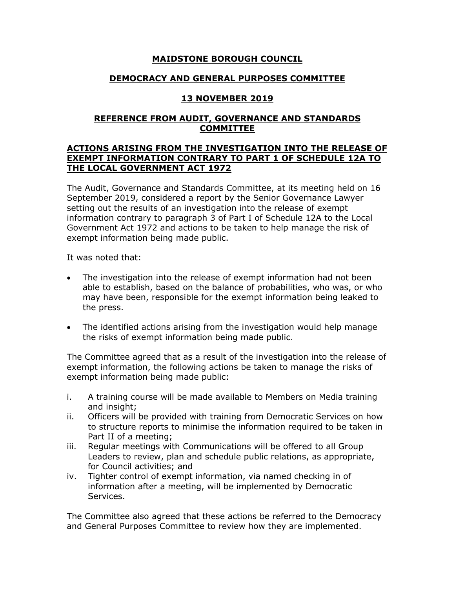# **MAIDSTONE BOROUGH COUNCIL**

# **DEMOCRACY AND GENERAL PURPOSES COMMITTEE**

# **13 NOVEMBER 2019**

#### **REFERENCE FROM AUDIT, GOVERNANCE AND STANDARDS COMMITTEE**

#### **ACTIONS ARISING FROM THE INVESTIGATION INTO THE RELEASE OF EXEMPT INFORMATION CONTRARY TO PART 1 OF SCHEDULE 12A TO THE LOCAL GOVERNMENT ACT 1972**

The Audit, Governance and Standards Committee, at its meeting held on 16 September 2019, considered a report by the Senior Governance Lawyer setting out the results of an investigation into the release of exempt information contrary to paragraph 3 of Part I of Schedule 12A to the Local Government Act 1972 and actions to be taken to help manage the risk of exempt information being made public.

It was noted that:

- The investigation into the release of exempt information had not been able to establish, based on the balance of probabilities, who was, or who may have been, responsible for the exempt information being leaked to the press.
- The identified actions arising from the investigation would help manage the risks of exempt information being made public.

The Committee agreed that as a result of the investigation into the release of exempt information, the following actions be taken to manage the risks of exempt information being made public:

- i. A training course will be made available to Members on Media training and insight;
- ii. Officers will be provided with training from Democratic Services on how to structure reports to minimise the information required to be taken in Part II of a meeting;
- iii. Regular meetings with Communications will be offered to all Group Leaders to review, plan and schedule public relations, as appropriate, for Council activities; and
- iv. Tighter control of exempt information, via named checking in of information after a meeting, will be implemented by Democratic Services.

The Committee also agreed that these actions be referred to the Democracy and General Purposes Committee to review how they are implemented.